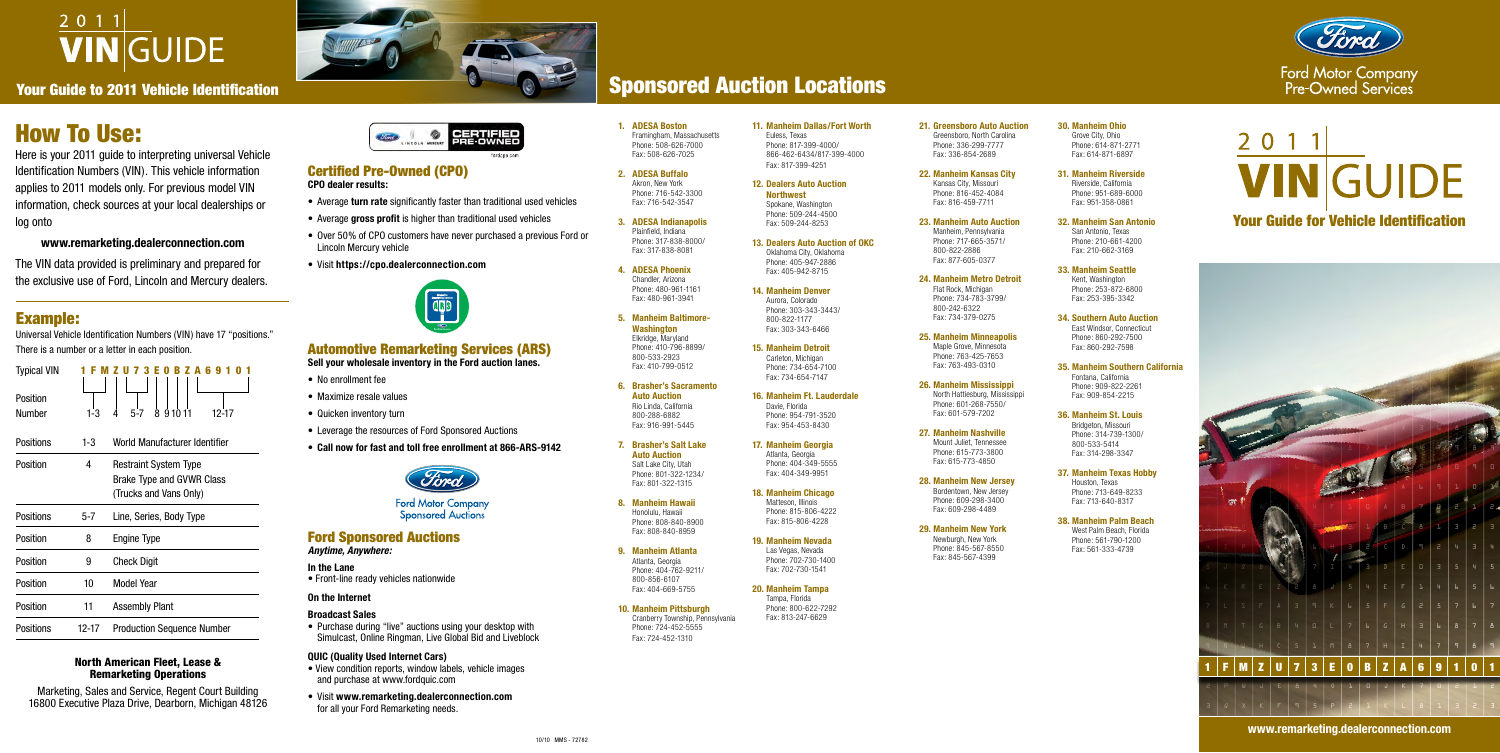| <b>Typical VIN</b> |       |                                   |
|--------------------|-------|-----------------------------------|
| Position           |       |                                   |
| Number             | 1-3   | 91011<br>8<br>5-7<br>12-17        |
| Positions          | 1-3   | World Manufacturer Identifier     |
| Position           | 4     | <b>Restraint System Type</b>      |
|                    |       | Brake Type and GVWR Class         |
|                    |       | (Trucks and Vans Only)            |
| Positions          | 5-7   | Line, Series, Body Type           |
| Position           | 8     | <b>Engine Type</b>                |
| Position           | 9     | <b>Check Digit</b>                |
| Position           | 10    | Model Year                        |
| Position           | 11    | <b>Assembly Plant</b>             |
| Positions          | 12-17 | <b>Production Sequence Number</b> |

# 2011 **VINGUIDE**

Your Guide to 2011 Vehicle Identification

# How To Use:

Here is your 2011 guide to interpreting universal Vehicle Identification Numbers (VIN). This vehicle information applies to 2011 models only. For previous model VIN information, check sources at your local dealerships or log onto

## **www.remarketing.dealerconnection.com**

The VIN data provided is preliminary and prepared for the exclusive use of Ford, Lincoln and Mercury dealers. **1. ADESA Boston** Framingham, Massachusetts Phone: 508-626-7000 Fax: 508-626-7025

**2. ADESA Buffalo** Akron, New York Phone: 716-542-3300 Fax: 716-542-3547

**3. ADESA Indianapolis** Plainfield, Indiana Phone: 317-838-8000/ Fax: 317-838-8081

**4. ADESA Phoenix** Chandler, Arizona Phone: 480-961-1161 Fax: 480-961-3941

**5. Manheim Baltimore-Washington** Elkridge, Maryland Phone: 410-796-8899/ 800-533-2923 Fax: 410-799-0512

**6. Brasher's Sacramento Auto Auction** Rio Linda, California 800-288-6882 Fax: 916-991-5445

**7. Brasher's Salt Lake Auto Auction** Salt Lake City, Utah Phone: 801-322-1234/ Fax: 801-322-1315

**8. Manheim Hawaii** Honolulu, Hawaii Phone: 808-840-8900 Fax: 808-840-8959

**9. Manheim Atlanta** Atlanta, Georgia Phone: 404-762-9211/ 800-856-6107 Fax: 404-669-5755

**10. Manheim Pittsburgh** Cranberry Township, Pennsylvania Phone: 724-452-5555 Fax: 724-452-1310

**11. Manheim Dallas/Fort Worth** Euless, Texas Phone: 817-399-4000/ 866-462-6434/817-399-4000 Fax: 817-399-4251

**12. Dealers Auto Auction Northwest** Spokane, Washington Phone: 509-244-4500 Fax: 509-244-8253

**13. Dealers Auto Auction of OKC** Oklahoma City, Oklahoma Phone: 405-947-2886 Fax: 405-942-8715

**14. Manheim Denver** Aurora, Colorado Phone: 303-343-3443/ 800-822-1177 Fax: 303-343-6466

**15. Manheim Detroit** Carleton, Michigan Phone: 734-654-7100 Fax: 734-654-7147

**16. Manheim Ft. Lauderdale** Davie, Florida Phone: 954-791-3520 Fax: 954-453-8430

**17. Manheim Georgia** Atlanta, Georgia Phone: 404-349-5555 Fax: 404-349-9951

**18. Manheim Chicago**

Matteson, Illinois Phone: 815-806-4222 Fax: 815-806-4228

**19. Manheim Nevada** Las Vegas, Nevada Phone: 702-730-1400

Fax: 702-730-1541 **20. Manheim Tampa**

Tampa, Florida Phone: 800-622-7292 Fax: 813-247-6629

**21. Greensboro Auto Auction** Greensboro, North Carolina Phone: 336-299-7777 Fax: 336-854-2689

**22. Manheim Kansas City** Kansas City, Missouri

Phone: 816-452-4084 Fax: 816-459-7711

**23. Manheim Auto Auction**

Manheim, Pennsylvania Phone: 717-665-3571/ 800-822-2886 Fax: 877-605-0377

**24. Manheim Metro Detroit**

Flat Rock, Michigan Phone: 734-783-3799/ 800-242-6322 Fax: 734-379-0275

#### **25. Manheim Minneapolis**

Maple Grove, Minnesota Phone: 763-425-7653 Fax: 763-493-0310

#### **26. Manheim Mississippi**

North Hattiesburg, Mississippi Phone: 601-268-7550/ Fax: 601-579-7202

#### **27. Manheim Nashville**

Mount Juliet, Tennessee Phone: 615-773-3800 Fax: 615-773-4850

#### **28. Manheim New Jersey**

Bordentown, New Jersey Phone: 609-298-3400 Fax: 609-298-4489



#### **29. Manheim New York**

Newburgh, New York Phone: 845-567-8550 Fax: 845-567-4399

**30. Manheim Ohio** Grove City, Ohio Phone: 614-871-2771 Fax: 614-871-6897

#### **31. Manheim Riverside**

Riverside, California Phone: 951-689-6000 Fax: 951-358-0861

**32. Manheim San Antonio** San Antonio, Texas Phone: 210-661-4200 Fax: 210-662-3169

#### **33. Manheim Seattle**

Kent, Washington Phone: 253-872-6800 Fax: 253-395-3342

**34. Southern Auto Auction** East Windsor, Connecticut

Phone: 860-292-7500 Fax: 860-292-7598

#### **35. Manheim Southern California**

Fontana, California Phone: 909-822-2261 Fax: 909-854-2215

#### **36. Manheim St. Louis**

Bridgeton, Missouri Phone: 314-739-1300/ 800-533-5414 Fax: 314-298-3347

#### **37. Manheim Texas Hobby**

Houston, Texas Phone: 713-649-8233 Fax: 713-640-8317

#### **38. Manheim Palm Beach**

West Palm Beach, Florida Phone: 561-790-1200 Fax: 561-333-4739

# 2 0 1 1 **VINGUIDE**

# Example:

Universal Vehicle Identification Numbers (VIN) have 17 "positions." There is a number or a letter in each position.

#### North American Fleet, Lease & Remarketing Operations

Marketing, Sales and Service, Regent Court Building 16800 Executive Plaza Drive, Dearborn, Michigan 48126





# Sponsored Auction Locations

## Certified Pre-Owned (CPO) **CPO dealer results:**

- Average **turn rate** significantly faster than traditional used vehicles
- Average **gross profit** is higher than traditional used vehicles
- Over 50% of CPO customers have never purchased a previous Ford or Lincoln Mercury vehicle
- Visit **https://cpo.dealerconnection.com**



# Automotive Remarketing Services (ARS)

**Sell your wholesale inventory in the Ford auction lanes.**

- No enrollment fee
- Maximize resale values
- Quicken inventory turn
- Leverage the resources of Ford Sponsored Auctions
- **Call now for fast and toll free enrollment at 866-ARS-9142**



**Ford Motor Company Sponsored Auctions** 

# Ford Sponsored Auctions

*Anytime, Anywhere:*

**In the Lane** • Front-line ready vehicles nationwide

### **On the Internet**

#### **Broadcast Sales**

• Purchase during "live" auctions using your desktop with Simulcast, Online Ringman, Live Global Bid and Liveblock

**QUIC (Quality Used Internet Cars)**

- View condition reports, window labels, vehicle images and purchase at www.fordquic.com
- Visit **www.remarketing.dealerconnection.com** for all your Ford Remarketing needs.

## Your Guide for Vehicle Identification

#### **www.remarketing.dealerconnection.com**